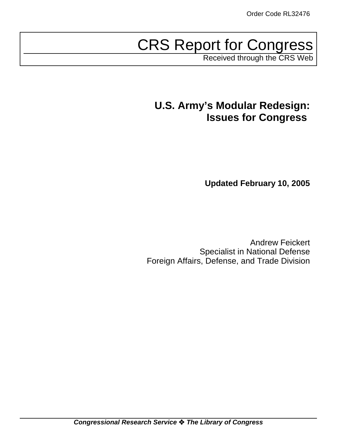# CRS Report for Congress

Received through the CRS Web

# **U.S. Army's Modular Redesign: Issues for Congress**

**Updated February 10, 2005**

Andrew Feickert Specialist in National Defense Foreign Affairs, Defense, and Trade Division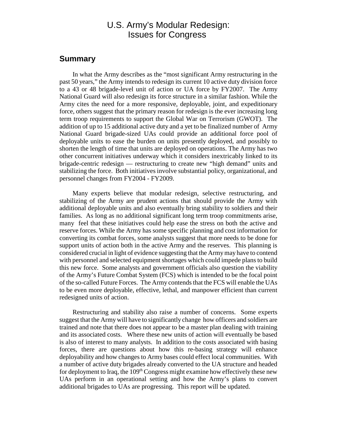# U.S. Army's Modular Redesign: Issues for Congress

#### **Summary**

In what the Army describes as the "most significant Army restructuring in the past 50 years," the Army intends to redesign its current 10 active duty division force to a 43 or 48 brigade-level unit of action or UA force by FY2007. The Army National Guard will also redesign its force structure in a similar fashion. While the Army cites the need for a more responsive, deployable, joint, and expeditionary force, others suggest that the primary reason for redesign is the ever increasing long term troop requirements to support the Global War on Terrorism (GWOT). The addition of up to 15 additional active duty and a yet to be finalized number of Army National Guard brigade-sized UAs could provide an additional force pool of deployable units to ease the burden on units presently deployed, and possibly to shorten the length of time that units are deployed on operations. The Army has two other concurrent initiatives underway which it considers inextricably linked to its brigade-centric redesign — restructuring to create new "high demand" units and stabilizing the force. Both initiatives involve substantial policy, organizational, and personnel changes from FY2004 - FY2009.

Many experts believe that modular redesign, selective restructuring, and stabilizing of the Army are prudent actions that should provide the Army with additional deployable units and also eventually bring stability to soldiers and their families. As long as no additional significant long term troop commitments arise, many feel that these initiatives could help ease the stress on both the active and reserve forces. While the Army has some specific planning and cost information for converting its combat forces, some analysts suggest that more needs to be done for support units of action both in the active Army and the reserves. This planning is considered crucial in light of evidence suggesting that the Army may have to contend with personnel and selected equipment shortages which could impede plans to build this new force. Some analysts and government officials also question the viability of the Army's Future Combat System (FCS) which is intended to be the focal point of the so-called Future Forces. The Army contends that the FCS will enable the UAs to be even more deployable, effective, lethal, and manpower efficient than current redesigned units of action.

Restructuring and stability also raise a number of concerns. Some experts suggest that the Army will have to significantly change how officers and soldiers are trained and note that there does not appear to be a master plan dealing with training and its associated costs. Where these new units of action will eventually be based is also of interest to many analysts. In addition to the costs associated with basing forces, there are questions about how this re-basing strategy will enhance deployability and how changes to Army bases could effect local communities. With a number of active duty brigades already converted to the UA structure and headed for deployment to Iraq, the  $109<sup>th</sup>$  Congress might examine how effectively these new UAs perform in an operational setting and how the Army's plans to convert additional brigades to UAs are progressing. This report will be updated.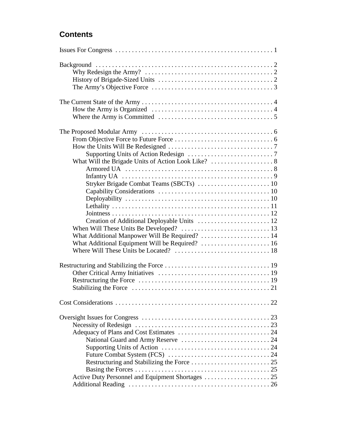# **Contents**

| The Army's Objective Force $\dots \dots \dots \dots \dots \dots \dots \dots \dots \dots \dots \dots$ |
|------------------------------------------------------------------------------------------------------|
| Where the Army is Committed $\dots \dots \dots \dots \dots \dots \dots \dots \dots \dots \dots$      |
| What Additional Manpower Will Be Required?  14                                                       |
|                                                                                                      |
|                                                                                                      |
|                                                                                                      |
|                                                                                                      |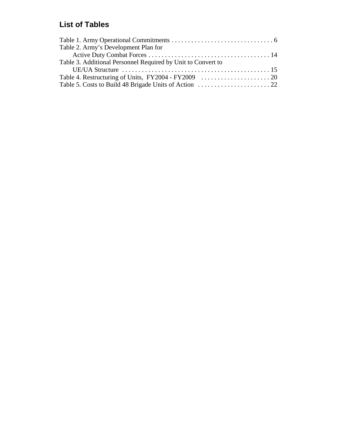# **List of Tables**

| Table 2. Army's Development Plan for                         |  |
|--------------------------------------------------------------|--|
|                                                              |  |
| Table 3. Additional Personnel Required by Unit to Convert to |  |
|                                                              |  |
|                                                              |  |
|                                                              |  |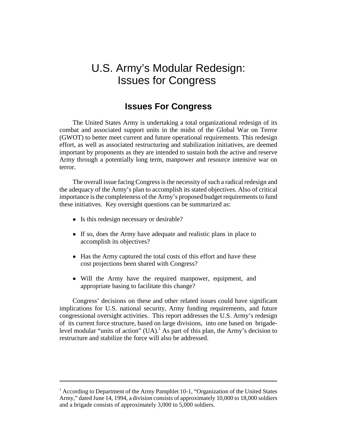# U.S. Army's Modular Redesign: Issues for Congress

# **Issues For Congress**

The United States Army is undertaking a total organizational redesign of its combat and associated support units in the midst of the Global War on Terror (GWOT) to better meet current and future operational requirements. This redesign effort, as well as associated restructuring and stabilization initiatives, are deemed important by proponents as they are intended to sustain both the active and reserve Army through a potentially long term, manpower and resource intensive war on terror.

The overall issue facing Congress is the necessity of such a radical redesign and the adequacy of the Army's plan to accomplish its stated objectives. Also of critical importance is the completeness of the Army's proposed budget requirements to fund these initiatives. Key oversight questions can be summarized as:

- Is this redesign necessary or desirable?
- ! If so, does the Army have adequate and realistic plans in place to accomplish its objectives?
- Has the Army captured the total costs of this effort and have these cost projections been shared with Congress?
- ! Will the Army have the required manpower, equipment, and appropriate basing to facilitate this change?

Congress' decisions on these and other related issues could have significant implications for U.S. national security, Army funding requirements, and future congressional oversight activities. This report addresses the U.S. Army's redesign of its current force structure, based on large divisions, into one based on brigadelevel modular "units of action"  $(UA)$ .<sup>1</sup> As part of this plan, the Army's decision to restructure and stabilize the force will also be addressed.

<sup>&</sup>lt;sup>1</sup> According to Department of the Army Pamphlet 10-1, "Organization of the United States Army," dated June 14, 1994, a division consists of approximately 10,000 to 18,000 soldiers and a brigade consists of approximately 3,000 to 5,000 soldiers.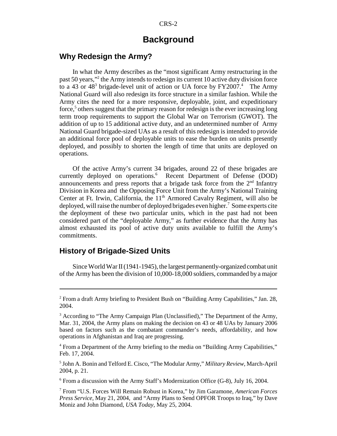#### **Background**

#### **Why Redesign the Army?**

In what the Army describes as the "most significant Army restructuring in the past 50 years,"<sup>2</sup> the Army intends to redesign its current 10 active duty division force to a 43 or  $48<sup>3</sup>$  brigade-level unit of action or UA force by FY2007.<sup>4</sup> The Army National Guard will also redesign its force structure in a similar fashion. While the Army cites the need for a more responsive, deployable, joint, and expeditionary force,<sup>5</sup> others suggest that the primary reason for redesign is the ever increasing long term troop requirements to support the Global War on Terrorism (GWOT). The addition of up to 15 additional active duty, and an undetermined number of Army National Guard brigade-sized UAs as a result of this redesign is intended to provide an additional force pool of deployable units to ease the burden on units presently deployed, and possibly to shorten the length of time that units are deployed on operations.

Of the active Army's current 34 brigades, around 22 of these brigades are currently deployed on operations.<sup>6</sup> Recent Department of Defense (DOD) announcements and press reports that a brigade task force from the  $2<sup>nd</sup>$  Infantry Division in Korea and the Opposing Force Unit from the Army's National Training Center at Ft. Irwin, California, the  $11<sup>th</sup>$  Armored Cavalry Regiment, will also be deployed, will raise the number of deployed brigades even higher.<sup>7</sup> Some experts cite the deployment of these two particular units, which in the past had not been considered part of the "deployable Army," as further evidence that the Army has almost exhausted its pool of active duty units available to fulfill the Army's commitments.

#### **History of Brigade-Sized Units**

Since World War II (1941-1945), the largest permanently-organized combat unit of the Army has been the division of 10,000-18,000 soldiers, commanded by a major

6 From a discussion with the Army Staff's Modernization Office (G-8), July 16, 2004.

<sup>&</sup>lt;sup>2</sup> From a draft Army briefing to President Bush on "Building Army Capabilities," Jan. 28, 2004.

<sup>&</sup>lt;sup>3</sup> According to "The Army Campaign Plan (Unclassified)," The Department of the Army, Mar. 31, 2004, the Army plans on making the decision on 43 or 48 UAs by January 2006 based on factors such as the combatant commander's needs, affordability, and how operations in Afghanistan and Iraq are progressing.

<sup>&</sup>lt;sup>4</sup> From a Department of the Army briefing to the media on "Building Army Capabilities," Feb. 17, 2004.

<sup>5</sup> John A. Bonin and Telford E. Cisco, "The Modular Army," *Military Review,* March-April 2004, p. 21.

<sup>7</sup> From "U.S. Forces Will Remain Robust in Korea," by Jim Garamone, *American Forces Press Service,* May 21, 2004, and "Army Plans to Send OPFOR Troops to Iraq," by Dave Moniz and John Diamond, *USA Today,* May 25, 2004.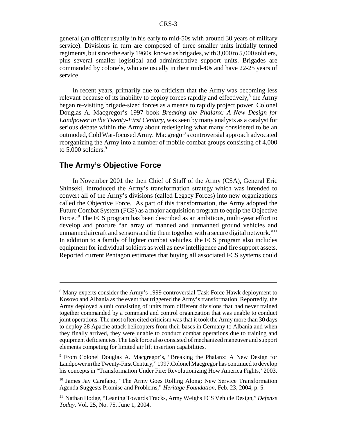general (an officer usually in his early to mid-50s with around 30 years of military service). Divisions in turn are composed of three smaller units initially termed regiments, but since the early 1960s, known as brigades, with 3,000 to 5,000 soldiers, plus several smaller logistical and administrative support units. Brigades are commanded by colonels, who are usually in their mid-40s and have 22-25 years of service.

In recent years, primarily due to criticism that the Army was becoming less relevant because of its inability to deploy forces rapidly and effectively,<sup>8</sup> the Army began re-visiting brigade-sized forces as a means to rapidly project power. Colonel Douglas A. Macgregor's 1997 book *Breaking the Phalanx: A New Design for Landpower in the Twenty-First Century*, was seen by many analysts as a catalyst for serious debate within the Army about redesigning what many considered to be an outmoded, Cold War-focused Army. Macgregor's controversial approach advocated reorganizing the Army into a number of mobile combat groups consisting of 4,000 to  $5,000$  soldiers.<sup>9</sup>

#### **The Army's Objective Force**

In November 2001 the then Chief of Staff of the Army (CSA), General Eric Shinseki, introduced the Army's transformation strategy which was intended to convert all of the Army's divisions (called Legacy Forces) into new organizations called the Objective Force. As part of this transformation, the Army adopted the Future Combat System (FCS) as a major acquisition program to equip the Objective Force.<sup>10</sup> The FCS program has been described as an ambitious, multi-year effort to develop and procure "an array of manned and unmanned ground vehicles and unmanned aircraft and sensors and tie them together with a secure digital network."11 In addition to a family of lighter combat vehicles, the FCS program also includes equipment for individual soldiers as well as new intelligence and fire support assets. Reported current Pentagon estimates that buying all associated FCS systems could

<sup>&</sup>lt;sup>8</sup> Many experts consider the Army's 1999 controversial Task Force Hawk deployment to Kosovo and Albania as the event that triggered the Army's transformation. Reportedly, the Army deployed a unit consisting of units from different divisions that had never trained together commanded by a command and control organization that was unable to conduct joint operations. The most often cited criticism was that it took the Army more than 30 days to deploy 28 Apache attack helicopters from their bases in Germany to Albania and when they finally arrived, they were unable to conduct combat operations due to training and equipment deficiencies. The task force also consisted of mechanized maneuver and support elements competing for limited air lift insertion capabilities.

<sup>9</sup> From Colonel Douglas A. Macgregor's, "Breaking the Phalanx: A New Design for Landpower in the Twenty-First Century," 1997.Colonel Macgregor has continued to develop his concepts in "Transformation Under Fire: Revolutionizing How America Fights,' 2003.

<sup>&</sup>lt;sup>10</sup> James Jay Carafano, "The Army Goes Rolling Along: New Service Transformation Agenda Suggests Promise and Problems," *Heritage Foundation,* Feb. 23, 2004, p. 5.

<sup>11</sup> Nathan Hodge, "Leaning Towards Tracks, Army Weighs FCS Vehicle Design," *Defense Today,* Vol. 25, No. 75, June 1, 2004.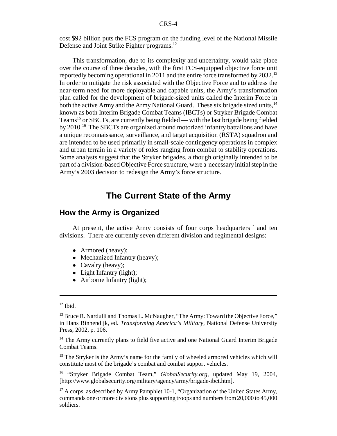cost \$92 billion puts the FCS program on the funding level of the National Missile Defense and Joint Strike Fighter programs.<sup>12</sup>

This transformation, due to its complexity and uncertainty, would take place over the course of three decades, with the first FCS-equipped objective force unit reportedly becoming operational in 2011 and the entire force transformed by 2032.<sup>13</sup> In order to mitigate the risk associated with the Objective Force and to address the near-term need for more deployable and capable units, the Army's transformation plan called for the development of brigade-sized units called the Interim Force in both the active Army and the Army National Guard. These six brigade sized units,<sup>14</sup> known as both Interim Brigade Combat Teams (IBCTs) or Stryker Brigade Combat Teams<sup>15</sup> or SBCTs, are currently being fielded — with the last brigade being fielded by 2010.16 The SBCTs are organized around motorized infantry battalions and have a unique reconnaissance, surveillance, and target acquisition (RSTA) squadron and are intended to be used primarily in small-scale contingency operations in complex and urban terrain in a variety of roles ranging from combat to stability operations. Some analysts suggest that the Stryker brigades, although originally intended to be part of a division-based Objective Force structure, were a necessary initial step in the Army's 2003 decision to redesign the Army's force structure.

# **The Current State of the Army**

### **How the Army is Organized**

At present, the active Army consists of four corps headquarters<sup>17</sup> and ten divisions. There are currently seven different division and regimental designs:

- Armored (heavy);
- Mechanized Infantry (heavy);
- Cavalry (heavy);
- Light Infantry (light);
- Airborne Infantry (light);

<sup>15</sup> The Stryker is the Army's name for the family of wheeled armored vehicles which will constitute most of the brigade's combat and combat support vehicles.

16 "Stryker Brigade Combat Team," *GlobalSecurity.org,* updated May 19, 2004, [http://www.globalsecurity.org/military/agency/army/brigade-ibct.htm].

 $17$  A corps, as described by Army Pamphlet 10-1, "Organization of the United States Army, commands one or more divisions plus supporting troops and numbers from 20,000 to 45,000 soldiers.

 $12$  Ibid.

<sup>&</sup>lt;sup>13</sup> Bruce R. Nardulli and Thomas L. McNaugher, "The Army: Toward the Objective Force," in Hans Binnendijk, ed. *Transforming America's Military,* National Defense University Press, 2002, p. 106.

 $14$  The Army currently plans to field five active and one National Guard Interim Brigade Combat Teams.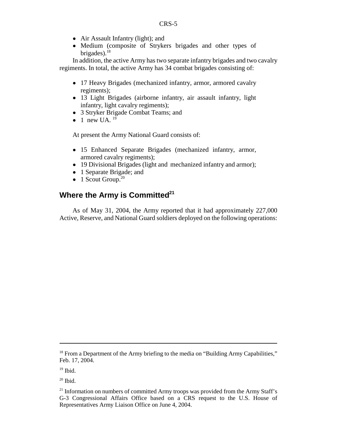- Air Assault Infantry (light); and
- ! Medium (composite of Strykers brigades and other types of brigades). $18$

In addition, the active Army has two separate infantry brigades and two cavalry regiments. In total, the active Army has 34 combat brigades consisting of:

- 17 Heavy Brigades (mechanized infantry, armor, armored cavalry regiments);
- 13 Light Brigades (airborne infantry, air assault infantry, light infantry, light cavalry regiments);
- ! 3 Stryker Brigade Combat Teams; and
- $\bullet$  1 new UA.<sup>19</sup>

At present the Army National Guard consists of:

- ! 15 Enhanced Separate Brigades (mechanized infantry, armor, armored cavalry regiments);
- ! 19 Divisional Brigades (light and mechanized infantry and armor);
- 1 Separate Brigade; and
- $\bullet$  1 Scout Group.<sup>20</sup>

### **Where the Army is Committed<sup>21</sup>**

As of May 31, 2004, the Army reported that it had approximately 227,000 Active, Reserve, and National Guard soldiers deployed on the following operations:

<sup>&</sup>lt;sup>18</sup> From a Department of the Army briefing to the media on "Building Army Capabilities," Feb. 17, 2004.

 $19$  Ibid.

 $20$  Ibid.

<sup>&</sup>lt;sup>21</sup> Information on numbers of committed Army troops was provided from the Army Staff's G-3 Congressional Affairs Office based on a CRS request to the U.S. House of Representatives Army Liaison Office on June 4, 2004.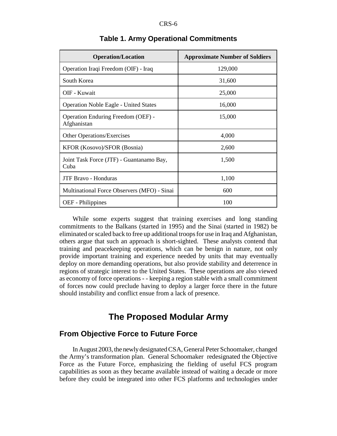| <b>Operation/Location</b>                                | <b>Approximate Number of Soldiers</b> |  |  |  |
|----------------------------------------------------------|---------------------------------------|--|--|--|
| Operation Iraqi Freedom (OIF) - Iraq                     | 129,000                               |  |  |  |
| South Korea                                              | 31,600                                |  |  |  |
| OIF - Kuwait                                             | 25,000                                |  |  |  |
| <b>Operation Noble Eagle - United States</b>             | 16,000                                |  |  |  |
| <b>Operation Enduring Freedom (OEF) -</b><br>Afghanistan | 15,000                                |  |  |  |
| Other Operations/Exercises                               | 4,000                                 |  |  |  |
| KFOR (Kosovo)/SFOR (Bosnia)                              | 2,600                                 |  |  |  |
| Joint Task Force (JTF) - Guantanamo Bay,<br>Cuba         | 1,500                                 |  |  |  |
| <b>JTF Bravo - Honduras</b>                              | 1,100                                 |  |  |  |
| Multinational Force Observers (MFO) - Sinai              | 600                                   |  |  |  |
| <b>OEF</b> - Philippines                                 | 100                                   |  |  |  |

#### **Table 1. Army Operational Commitments**

While some experts suggest that training exercises and long standing commitments to the Balkans (started in 1995) and the Sinai (started in 1982) be eliminated or scaled back to free up additional troops for use in Iraq and Afghanistan, others argue that such an approach is short-sighted. These analysts contend that training and peacekeeping operations, which can be benign in nature, not only provide important training and experience needed by units that may eventually deploy on more demanding operations, but also provide stability and deterrence in regions of strategic interest to the United States. These operations are also viewed as economy of force operations - - keeping a region stable with a small commitment of forces now could preclude having to deploy a larger force there in the future should instability and conflict ensue from a lack of presence.

# **The Proposed Modular Army**

#### **From Objective Force to Future Force**

In August 2003, the newly designated CSA, General Peter Schoomaker, changed the Army's transformation plan. General Schoomaker redesignated the Objective Force as the Future Force, emphasizing the fielding of useful FCS program capabilities as soon as they became available instead of waiting a decade or more before they could be integrated into other FCS platforms and technologies under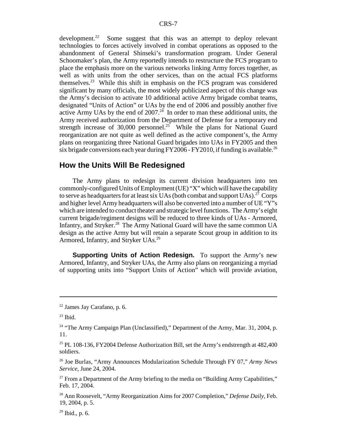development.<sup>22</sup> Some suggest that this was an attempt to deploy relevant technologies to forces actively involved in combat operations as opposed to the abandonment of General Shinseki's transformation program. Under General Schoomaker's plan, the Army reportedly intends to restructure the FCS program to place the emphasis more on the various networks linking Army forces together, as well as with units from the other services, than on the actual FCS platforms themselves.23 While this shift in emphasis on the FCS program was considered significant by many officials, the most widely publicized aspect of this change was the Army's decision to activate 10 additional active Army brigade combat teams, designated "Units of Action" or UAs by the end of 2006 and possibly another five active Army UAs by the end of  $2007.<sup>24</sup>$  In order to man these additional units, the Army received authorization from the Department of Defense for a temporary end strength increase of 30,000 personnel.<sup>25</sup> While the plans for National Guard reorganization are not quite as well defined as the active component's, the Army plans on reorganizing three National Guard brigades into UAs in FY2005 and then six brigade conversions each year during  $FY2006 - FY2010$ , if funding is available.<sup>26</sup>

#### **How the Units Will Be Redesigned**

The Army plans to redesign its current division headquarters into ten commonly-configured Units of Employment (UE) "X" which will have the capability to serve as headquarters for at least six UAs (both combat and support UAs).<sup>27</sup> Corps and higher level Army headquarters will also be converted into a number of UE "Y"s" which are intended to conduct theater and strategic level functions. The Army's eight current brigade/regiment designs will be reduced to three kinds of UAs - Armored, Infantry, and Stryker.<sup>28</sup> The Army National Guard will have the same common UA design as the active Army but will retain a separate Scout group in addition to its Armored, Infantry, and Stryker UAs.<sup>29</sup>

**Supporting Units of Action Redesign.** To support the Army's new Armored, Infantry, and Stryker UAs, the Army also plans on reorganizing a myriad of supporting units into "Support Units of Action" which will provide aviation,

<sup>22</sup> James Jay Carafano, p. 6.

 $23$  Ibid.

<sup>&</sup>lt;sup>24</sup> "The Army Campaign Plan (Unclassified)," Department of the Army, Mar. 31, 2004, p. 11.

<sup>&</sup>lt;sup>25</sup> PL 108-136, FY2004 Defense Authorization Bill, set the Army's endstrength at  $482,400$ soldiers.

<sup>26</sup> Joe Burlas, "Army Announces Modularization Schedule Through FY 07," *Army News Service,* June 24, 2004.

 $27$  From a Department of the Army briefing to the media on "Building Army Capabilities," Feb. 17, 2004.

<sup>28</sup> Ann Roosevelt, "Army Reorganization Aims for 2007 Completion," *Defense Daily,* Feb. 19, 2004, p. 5.

 $29$  Ibid., p. 6.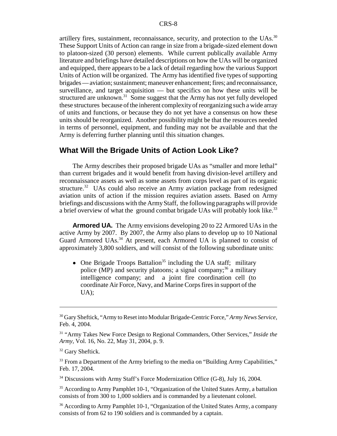artillery fires, sustainment, reconnaissance, security, and protection to the UAs.<sup>30</sup> These Support Units of Action can range in size from a brigade-sized element down to platoon-sized (30 person) elements. While current publically available Army literature and briefings have detailed descriptions on how the UAs will be organized and equipped, there appears to be a lack of detail regarding how the various Support Units of Action will be organized. The Army has identified five types of supporting brigades — aviation; sustainment; maneuver enhancement; fires; and reconnaissance, surveillance, and target acquisition — but specifics on how these units will be structured are unknown.<sup>31</sup> Some suggest that the Army has not yet fully developed these structures because of the inherent complexity of reorganizing such a wide array of units and functions, or because they do not yet have a consensus on how these units should be reorganized. Another possibility might be that the resources needed in terms of personnel, equipment, and funding may not be available and that the Army is deferring further planning until this situation changes.

#### **What Will the Brigade Units of Action Look Like?**

The Army describes their proposed brigade UAs as "smaller and more lethal" than current brigades and it would benefit from having division-level artillery and reconnaissance assets as well as some assets from corps level as part of its organic structure.<sup>32</sup> UAs could also receive an Army aviation package from redesigned aviation units of action if the mission requires aviation assets. Based on Army briefings and discussions with the Army Staff, the following paragraphs will provide a brief overview of what the ground combat brigade UAs will probably look like.<sup>33</sup>

**Armored UA.** The Army envisions developing 20 to 22 Armored UAs in the active Army by 2007. By 2007, the Army also plans to develop up to 10 National Guard Armored UAs.<sup>34</sup> At present, each Armored UA is planned to consist of approximately 3,800 soldiers, and will consist of the following subordinate units:

• One Brigade Troops Battalion<sup>35</sup> including the UA staff; military police (MP) and security platoons; a signal company;  $36$  a military intelligence company; and a joint fire coordination cell (to coordinate Air Force, Navy, and Marine Corps fires in support of the UA);

<sup>33</sup> From a Department of the Army briefing to the media on "Building Army Capabilities," Feb. 17, 2004.

<sup>34</sup> Discussions with Army Staff's Force Modernization Office (G-8), July 16, 2004.

<sup>35</sup> According to Army Pamphlet 10-1, "Organization of the United States Army, a battalion consists of from 300 to 1,000 soldiers and is commanded by a lieutenant colonel.

<sup>36</sup> According to Army Pamphlet 10-1, "Organization of the United States Army, a company consists of from 62 to 190 soldiers and is commanded by a captain.

<sup>30</sup> Gary Sheftick, "Army to Reset into Modular Brigade-Centric Force," *Army News Service,* Feb. 4, 2004.

<sup>31 &</sup>quot;Army Takes New Force Design to Regional Commanders, Other Services," *Inside the Army,* Vol. 16, No. 22, May 31, 2004, p. 9.

<sup>&</sup>lt;sup>32</sup> Gary Sheftick.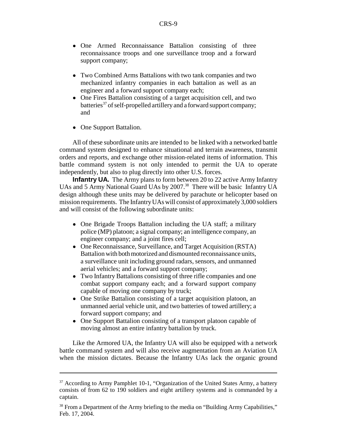- One Armed Reconnaissance Battalion consisting of three reconnaissance troops and one surveillance troop and a forward support company;
- ! Two Combined Arms Battalions with two tank companies and two mechanized infantry companies in each battalion as well as an engineer and a forward support company each;
- One Fires Battalion consisting of a target acquisition cell, and two batteries<sup>37</sup> of self-propelled artillery and a forward support company; and
- One Support Battalion.

All of these subordinate units are intended to be linked with a networked battle command system designed to enhance situational and terrain awareness, transmit orders and reports, and exchange other mission-related items of information. This battle command system is not only intended to permit the UA to operate independently, but also to plug directly into other U.S. forces.

**Infantry UA.** The Army plans to form between 20 to 22 active Army Infantry UAs and 5 Army National Guard UAs by 2007.<sup>38</sup> There will be basic Infantry UA design although these units may be delivered by parachute or helicopter based on mission requirements. The Infantry UAs will consist of approximately 3,000 soldiers and will consist of the following subordinate units:

- One Brigade Troops Battalion including the UA staff; a military police (MP) platoon; a signal company; an intelligence company, an engineer company; and a joint fires cell;
- One Reconnaissance, Surveillance, and Target Acquisition (RSTA) Battalion with both motorized and dismounted reconnaissance units, a surveillance unit including ground radars, sensors, and unmanned aerial vehicles; and a forward support company;
- Two Infantry Battalions consisting of three rifle companies and one combat support company each; and a forward support company capable of moving one company by truck;
- One Strike Battalion consisting of a target acquisition platoon, an unmanned aerial vehicle unit, and two batteries of towed artillery; a forward support company; and
- One Support Battalion consisting of a transport platoon capable of moving almost an entire infantry battalion by truck.

Like the Armored UA, the Infantry UA will also be equipped with a network battle command system and will also receive augmentation from an Aviation UA when the mission dictates. Because the Infantry UAs lack the organic ground

<sup>&</sup>lt;sup>37</sup> According to Army Pamphlet 10-1, "Organization of the United States Army, a battery consists of from 62 to 190 soldiers and eight artillery systems and is commanded by a captain.

<sup>&</sup>lt;sup>38</sup> From a Department of the Army briefing to the media on "Building Army Capabilities," Feb. 17, 2004.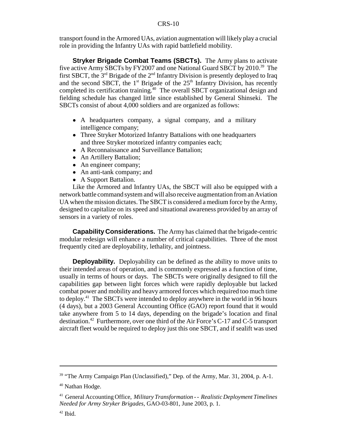#### CRS-10

transport found in the Armored UAs, aviation augmentation will likely play a crucial role in providing the Infantry UAs with rapid battlefield mobility.

**Stryker Brigade Combat Teams (SBCTs).** The Army plans to activate five active Army SBCTs by FY2007 and one National Guard SBCT by 2010.39 The first SBCT, the  $3<sup>rd</sup>$  Brigade of the  $2<sup>nd</sup>$  Infantry Division is presently deployed to Iraq and the second SBCT, the  $1<sup>st</sup>$  Brigade of the  $25<sup>th</sup>$  Infantry Division, has recently completed its certification training.<sup>40</sup> The overall SBCT organizational design and fielding schedule has changed little since established by General Shinseki. The SBCTs consist of about 4,000 soldiers and are organized as follows:

- A headquarters company, a signal company, and a military intelligence company;
- ! Three Stryker Motorized Infantry Battalions with one headquarters and three Stryker motorized infantry companies each;
- ! A Reconnaissance and Surveillance Battalion;
- An Artillery Battalion;
- An engineer company;
- An anti-tank company; and
- A Support Battalion.

Like the Armored and Infantry UAs, the SBCT will also be equipped with a network battle command system and will also receive augmentation from an Aviation UA when the mission dictates. The SBCT is considered a medium force by the Army, designed to capitalize on its speed and situational awareness provided by an array of sensors in a variety of roles.

**Capability Considerations.** The Army has claimed that the brigade-centric modular redesign will enhance a number of critical capabilities. Three of the most frequently cited are deployability, lethality, and jointness.

**Deployability.** Deployability can be defined as the ability to move units to their intended areas of operation, and is commonly expressed as a function of time, usually in terms of hours or days. The SBCTs were originally designed to fill the capabilities gap between light forces which were rapidly deployable but lacked combat power and mobility and heavy armored forces which required too much time to deploy.41 The SBCTs were intended to deploy anywhere in the world in 96 hours (4 days), but a 2003 General Accounting Office (GAO) report found that it would take anywhere from 5 to 14 days, depending on the brigade's location and final destination.42 Furthermore, over one third of the Air Force's C-17 and C-5 transport aircraft fleet would be required to deploy just this one SBCT, and if sealift was used

<sup>&</sup>lt;sup>39</sup> "The Army Campaign Plan (Unclassified)," Dep. of the Army, Mar. 31, 2004, p. A-1.

<sup>40</sup> Nathan Hodge.

<sup>41</sup> General Accounting Office, *Military Transformation - - Realistic Deployment Timelines Needed for Army Stryker Brigades*, GAO-03-801, June 2003, p. 1.

 $42$  Ibid.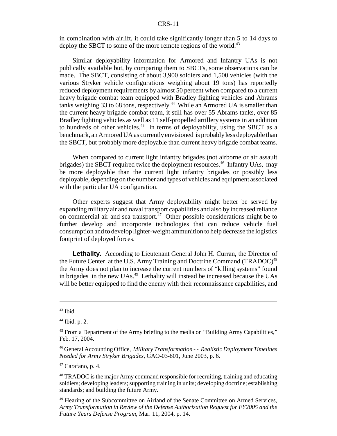#### CRS-11

in combination with airlift, it could take significantly longer than 5 to 14 days to deploy the SBCT to some of the more remote regions of the world.<sup>43</sup>

Similar deployability information for Armored and Infantry UAs is not publically available but, by comparing them to SBCTs, some observations can be made. The SBCT, consisting of about 3,900 soldiers and 1,500 vehicles (with the various Stryker vehicle configurations weighing about 19 tons) has reportedly reduced deployment requirements by almost 50 percent when compared to a current heavy brigade combat team equipped with Bradley fighting vehicles and Abrams tanks weighing 33 to 68 tons, respectively.<sup>44</sup> While an Armored UA is smaller than the current heavy brigade combat team, it still has over 55 Abrams tanks, over 85 Bradley fighting vehicles as well as 11 self-propelled artillery systems in an addition to hundreds of other vehicles.<sup>45</sup> In terms of deployability, using the SBCT as a benchmark, an Armored UA as currently envisioned is probably less deployable than the SBCT, but probably more deployable than current heavy brigade combat teams.

When compared to current light infantry brigades (not airborne or air assault brigades) the SBCT required twice the deployment resources.<sup>46</sup> Infantry UAs, may be more deployable than the current light infantry brigades or possibly less deployable, depending on the number and types of vehicles and equipment associated with the particular UA configuration.

Other experts suggest that Army deployability might better be served by expanding military air and naval transport capabilities and also by increased reliance on commercial air and sea transport.<sup> $47$ </sup> Other possible considerations might be to further develop and incorporate technologies that can reduce vehicle fuel consumption and to develop lighter-weight ammunition to help decrease the logistics footprint of deployed forces.

Lethality. According to Lieutenant General John H. Curran, the Director of the Future Center at the U.S. Army Training and Doctrine Command (TRADOC)<sup>48</sup> the Army does not plan to increase the current numbers of "killing systems" found in brigades in the new UAs.49 Lethality will instead be increased because the UAs will be better equipped to find the enemy with their reconnaissance capabilities, and

 $43$  Ibid.

 $44$  Ibid. p. 2.

<sup>&</sup>lt;sup>45</sup> From a Department of the Army briefing to the media on "Building Army Capabilities," Feb. 17, 2004.

<sup>46</sup> General Accounting Office, *Military Transformation - - Realistic Deployment Timelines Needed for Army Stryker Brigades*, GAO-03-801, June 2003, p. 6.

 $47$  Carafano, p. 4.

<sup>&</sup>lt;sup>48</sup> TRADOC is the major Army command responsible for recruiting, training and educating soldiers; developing leaders; supporting training in units; developing doctrine; establishing standards; and building the future Army.

<sup>&</sup>lt;sup>49</sup> Hearing of the Subcommittee on Airland of the Senate Committee on Armed Services, *Army Transformation in Review of the Defense Authorization Request for FY2005 and the Future Years Defense Program*, Mar. 11, 2004, p. 14.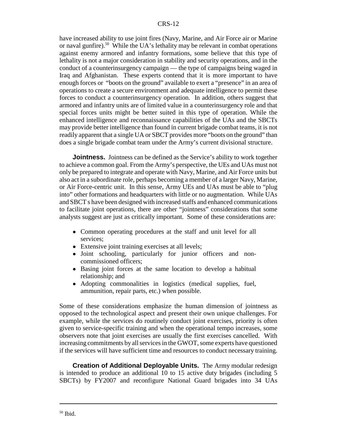have increased ability to use joint fires (Navy, Marine, and Air Force air or Marine or naval gunfire).50 While the UA's lethality may be relevant in combat operations against enemy armored and infantry formations, some believe that this type of lethality is not a major consideration in stability and security operations, and in the conduct of a counterinsurgency campaign — the type of campaigns being waged in Iraq and Afghanistan. These experts contend that it is more important to have enough forces or "boots on the ground" available to exert a "presence" in an area of operations to create a secure environment and adequate intelligence to permit these forces to conduct a counterinsurgency operation. In addition, others suggest that armored and infantry units are of limited value in a counterinsurgency role and that special forces units might be better suited in this type of operation. While the enhanced intelligence and reconnaissance capabilities of the UAs and the SBCTs may provide better intelligence than found in current brigade combat teams, it is not readily apparent that a single UA or SBCT provides more "boots on the ground" than does a single brigade combat team under the Army's current divisional structure.

**Jointness.** Jointness can be defined as the Service's ability to work together to achieve a common goal. From the Army's perspective, the UEs and UAs must not only be prepared to integrate and operate with Navy, Marine, and Air Force units but also act in a subordinate role, perhaps becoming a member of a larger Navy, Marine, or Air Force-centric unit. In this sense, Army UEs and UAs must be able to "plug into" other formations and headquarters with little or no augmentation. While UAs and SBCT s have been designed with increased staffs and enhanced communications to facilitate joint operations, there are other "jointness" considerations that some analysts suggest are just as critically important. Some of these considerations are:

- Common operating procedures at the staff and unit level for all services;
- Extensive joint training exercises at all levels;
- ! Joint schooling, particularly for junior officers and noncommissioned officers;
- Basing joint forces at the same location to develop a habitual relationship; and
- ! Adopting commonalities in logistics (medical supplies, fuel, ammunition, repair parts, etc.) when possible.

Some of these considerations emphasize the human dimension of jointness as opposed to the technological aspect and present their own unique challenges. For example, while the services do routinely conduct joint exercises, priority is often given to service-specific training and when the operational tempo increases, some observers note that joint exercises are usually the first exercises cancelled. With increasing commitments by all services in the GWOT, some experts have questioned if the services will have sufficient time and resources to conduct necessary training.

**Creation of Additional Deployable Units.** The Army modular redesign is intended to produce an additional 10 to 15 active duty brigades (including 5 SBCTs) by FY2007 and reconfigure National Guard brigades into 34 UAs

 $50$  Ibid.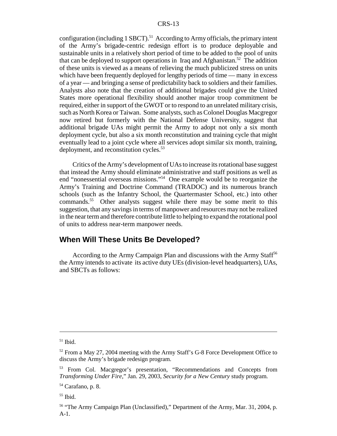configuration (including  $1$  SBCT).<sup>51</sup> According to Army officials, the primary intent of the Army's brigade-centric redesign effort is to produce deployable and sustainable units in a relatively short period of time to be added to the pool of units that can be deployed to support operations in Iraq and Afghanistan.<sup>52</sup> The addition of these units is viewed as a means of relieving the much publicized stress on units which have been frequently deployed for lengthy periods of time — many in excess of a year — and bringing a sense of predictability back to soldiers and their families. Analysts also note that the creation of additional brigades could give the United States more operational flexibility should another major troop commitment be required, either in support of the GWOT or to respond to an unrelated military crisis, such as North Korea or Taiwan. Some analysts, such as Colonel Douglas Macgregor now retired but formerly with the National Defense University, suggest that additional brigade UAs might permit the Army to adopt not only a six month deployment cycle, but also a six month reconstitution and training cycle that might eventually lead to a joint cycle where all services adopt similar six month, training, deployment, and reconstitution cycles.<sup>53</sup>

Critics of the Army's development of UAs to increase its rotational base suggest that instead the Army should eliminate administrative and staff positions as well as end "nonessential overseas missions."54 One example would be to reorganize the Army's Training and Doctrine Command (TRADOC) and its numerous branch schools (such as the Infantry School, the Quartermaster School, etc.) into other commands.<sup>55</sup> Other analysts suggest while there may be some merit to this suggestion, that any savings in terms of manpower and resources may not be realized in the near term and therefore contribute little to helping to expand the rotational pool of units to address near-term manpower needs.

#### **When Will These Units Be Developed?**

According to the Army Campaign Plan and discussions with the Army Staff<sup>56</sup> the Army intends to activate its active duty UEs (division-level headquarters), UAs, and SBCTs as follows:

 $51$  Ibid.

<sup>&</sup>lt;sup>52</sup> From a May 27, 2004 meeting with the Army Staff's G-8 Force Development Office to discuss the Army's brigade redesign program.

<sup>53</sup> From Col. Macgregor's presentation, "Recommendations and Concepts from *Transforming Under Fire*," Jan. 29, 2003, *Security for a New Century* study program.

<sup>54</sup> Carafano, p. 8.

<sup>55</sup> Ibid.

<sup>&</sup>lt;sup>56</sup> "The Army Campaign Plan (Unclassified)," Department of the Army, Mar. 31, 2004, p. A-1.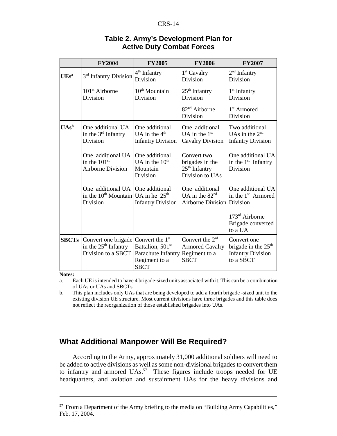#### CRS-14

|                  | <b>FY2004</b>                                                                                   | <b>FY2005</b>                                                                                    | <b>FY2006</b>                                                           | <b>FY2007</b>                                                                 |
|------------------|-------------------------------------------------------------------------------------------------|--------------------------------------------------------------------------------------------------|-------------------------------------------------------------------------|-------------------------------------------------------------------------------|
| UEs <sup>a</sup> | 3 <sup>rd</sup> Infantry Division                                                               | 4 <sup>th</sup> Infantry<br>Division                                                             | 1 <sup>st</sup> Cavalry<br><b>Division</b>                              | 2 <sup>nd</sup> Infantry<br><b>Division</b>                                   |
|                  | 101 <sup>st</sup> Airborne<br>Division                                                          | $10th$ Mountain<br>Division                                                                      | $25th$ Infantry<br>Division                                             | 1 <sup>st</sup> Infantry<br>Division                                          |
|                  |                                                                                                 |                                                                                                  | 82 <sup>nd</sup> Airborne<br>Division                                   | 1 <sup>st</sup> Armored<br>Division                                           |
| $UAs^b$          | One additional UA<br>in the $3^{rd}$ Infantry<br>Division                                       | One additional<br>UA in the $4th$<br><b>Infantry Division</b>                                    | One additional<br>UA in the $1st$<br><b>Cavalry Division</b>            | Two additional<br>UAs in the $2nd$<br><b>Infantry Division</b>                |
|                  | One additional UA<br>in the $101st$<br>Airborne Division                                        | One additional<br>UA in the $10th$<br>Mountain<br>Division                                       | Convert two<br>brigades in the<br>$25th$ Infantry<br>Division to UAs    | One additional UA<br>in the $1st$ Infantry<br>Division                        |
|                  | One additional UA One additional<br>in the $10^{th}$ Mountain UA in he $25^{th}$<br>Division    | <b>Infantry Division</b>                                                                         | One additional<br>UA in the $82nd$<br><b>Airborne Division Division</b> | One additional UA<br>in the 1 <sup>st</sup> Armored                           |
|                  |                                                                                                 |                                                                                                  |                                                                         | 173 <sup>rd</sup> Airborne<br>Brigade converted<br>to a UA                    |
| <b>SBCTs</b>     | Convert one brigade Convert the 1 <sup>st</sup><br>in the $25th$ Infantry<br>Division to a SBCT | Battalion, 501 <sup>st</sup><br>Parachute Infantry Regiment to a<br>Regiment to a<br><b>SBCT</b> | Convert the $2rd$<br><b>Armored Cavalry</b><br><b>SBCT</b>              | Convert one<br>brigade in the $25th$<br><b>Infantry Division</b><br>to a SBCT |

#### **Table 2. Army's Development Plan for Active Duty Combat Forces**

**Notes:**

a. Each UE is intended to have 4 brigade-sized units associated with it. This can be a combination of UAs or UAs and SBCTs.

b. This plan includes only UAs that are being developed to add a fourth brigade -sized unit to the existing division UE structure. Most current divisions have three brigades and this table does not reflect the reorganization of those established brigades into UAs.

# **What Additional Manpower Will Be Required?**

According to the Army, approximately 31,000 additional soldiers will need to be added to active divisions as well as some non-divisional brigades to convert them to infantry and armored UAs.<sup>57</sup> These figures include troops needed for UE headquarters, and aviation and sustainment UAs for the heavy divisions and

<sup>&</sup>lt;sup>57</sup> From a Department of the Army briefing to the media on "Building Army Capabilities," Feb. 17, 2004.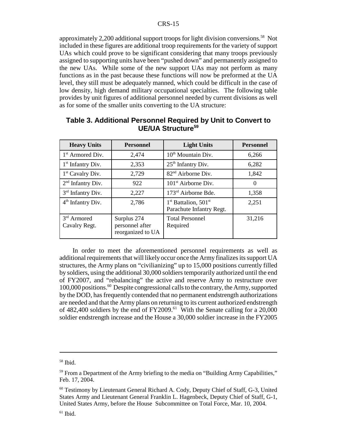approximately 2,200 additional support troops for light division conversions.<sup>58</sup> Not included in these figures are additional troop requirements for the variety of support UAs which could prove to be significant considering that many troops previously assigned to supporting units have been "pushed down" and permanently assigned to the new UAs. While some of the new support UAs may not perform as many functions as in the past because these functions will now be preformed at the UA level, they still must be adequately manned, which could be difficult in the case of low density, high demand military occupational specialties. The following table provides by unit figures of additional personnel needed by current divisions as well as for some of the smaller units converting to the UA structure:

| <b>Heavy Units</b>             | <b>Personnel</b>                                    | <b>Light Units</b>                                                       | <b>Personnel</b> |  |
|--------------------------------|-----------------------------------------------------|--------------------------------------------------------------------------|------------------|--|
| $1st$ Armored Div.             | 2,474                                               | $10th$ Mountain Div.                                                     | 6,266            |  |
| 1 <sup>st</sup> Infantry Div.  | 2,353                                               | 25 <sup>th</sup> Infantry Div.                                           | 6,282            |  |
| $1st$ Cavalry Div.             | 2,729                                               | 82 <sup>nd</sup> Airborne Div.                                           | 1,842            |  |
| $2nd$ Infantry Div.            | 922                                                 | 101 <sup>st</sup> Airborne Div.                                          | 0                |  |
| $3rd$ Infantry Div.            | 2,227                                               | 173 <sup>rd</sup> Airborne Bde.                                          | 1,358            |  |
| $4th$ Infantry Div.            | 2,786                                               | 1 <sup>st</sup> Battalion, 501 <sup>st</sup><br>Parachute Infantry Regt. | 2,251            |  |
| $3rd$ Armored<br>Cavalry Regt. | Surplus 274<br>personnel after<br>reorganized to UA | <b>Total Personnel</b><br>Required                                       | 31,216           |  |

#### **Table 3. Additional Personnel Required by Unit to Convert to UE/UA Structure59**

In order to meet the aforementioned personnel requirements as well as additional requirements that will likely occur once the Army finalizes its support UA structures, the Army plans on "civilianizing" up to 15,000 positions currently filled by soldiers, using the additional 30,000 soldiers temporarily authorized until the end of FY2007, and "rebalancing" the active and reserve Army to restructure over 100,000 positions.60 Despite congressional calls to the contrary, the Army, supported by the DOD, has frequently contended that no permanent endstrength authorizations are needed and that the Army plans on returning to its current authorized endstrength of 482,400 soldiers by the end of  $FY2009<sup>61</sup>$  With the Senate calling for a 20,000 soldier endstrength increase and the House a 30,000 soldier increase in the FY2005

 $58$  Ibid.

<sup>&</sup>lt;sup>59</sup> From a Department of the Army briefing to the media on "Building Army Capabilities," Feb. 17, 2004.

<sup>60</sup> Testimony by Lieutenant General Richard A. Cody, Deputy Chief of Staff, G-3, United States Army and Lieutenant General Franklin L. Hagenbeck, Deputy Chief of Staff, G-1, United States Army, before the House Subcommittee on Total Force, Mar. 10, 2004.

 $61$  Ibid.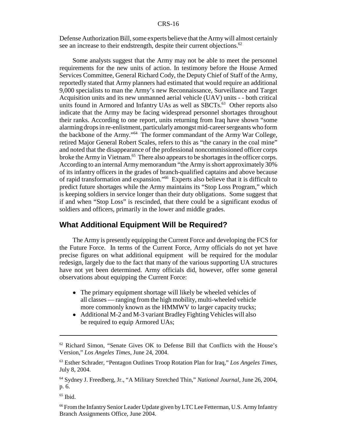#### CRS-16

Defense Authorization Bill, some experts believe that the Army will almost certainly see an increase to their endstrength, despite their current objections.<sup>62</sup>

Some analysts suggest that the Army may not be able to meet the personnel requirements for the new units of action. In testimony before the House Armed Services Committee, General Richard Cody, the Deputy Chief of Staff of the Army, reportedly stated that Army planners had estimated that would require an additional 9,000 specialists to man the Army's new Reconnaissance, Surveillance and Target Acquisition units and its new unmanned aerial vehicle (UAV) units - - both critical units found in Armored and Infantry UAs as well as SBCTs.<sup>63</sup> Other reports also indicate that the Army may be facing widespread personnel shortages throughout their ranks. According to one report, units returning from Iraq have shown "some alarming drops in re-enlistment, particularly amongst mid-career sergeants who form the backbone of the Army."64 The former commandant of the Army War College, retired Major General Robert Scales, refers to this as "the canary in the coal mine" and noted that the disappearance of the professional noncommissioned officer corps broke the Army in Vietnam.<sup>65</sup> There also appears to be shortages in the officer corps. According to an internal Army memorandum "the Army is short approximately 30% of its infantry officers in the grades of branch-qualified captains and above because of rapid transformation and expansion."66 Experts also believe that it is difficult to predict future shortages while the Army maintains its "Stop Loss Program," which is keeping soldiers in service longer than their duty obligations. Some suggest that if and when "Stop Loss" is rescinded, that there could be a significant exodus of soldiers and officers, primarily in the lower and middle grades.

#### **What Additional Equipment Will be Required?**

The Army is presently equipping the Current Force and developing the FCS for the Future Force. In terms of the Current Force, Army officials do not yet have precise figures on what additional equipment will be required for the modular redesign, largely due to the fact that many of the various supporting UA structures have not yet been determined. Army officials did, however, offer some general observations about equipping the Current Force:

- The primary equipment shortage will likely be wheeled vehicles of all classes — ranging from the high mobility, multi-wheeled vehicle more commonly known as the HMMWV to larger capacity trucks;
- Additional M-2 and M-3 variant Bradley Fighting Vehicles will also be required to equip Armored UAs;

 $65$  Ibid.

 $62$  Richard Simon, "Senate Gives OK to Defense Bill that Conflicts with the House's Version," *Los Angeles Times,* June 24, 2004.

<sup>63</sup> Esther Schrader, "Pentagon Outlines Troop Rotation Plan for Iraq," *Los Angeles Times,* July 8, 2004.

<sup>64</sup> Sydney J. Freedberg, Jr., "A Military Stretched Thin," *National Journal,* June 26, 2004, p. 6.

<sup>&</sup>lt;sup>66</sup> From the Infantry Senior Leader Update given by LTC Lee Fetterman, U.S. Army Infantry Branch Assignments Office, June 2004.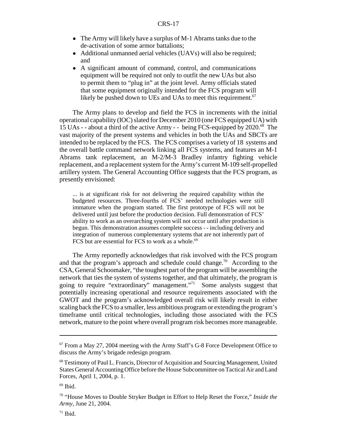- The Army will likely have a surplus of M-1 Abrams tanks due to the de-activation of some armor battalions;
- Additional unmanned aerial vehicles (UAVs) will also be required; and
- A significant amount of command, control, and communications equipment will be required not only to outfit the new UAs but also to permit them to "plug in" at the joint level. Army officials stated that some equipment originally intended for the FCS program will likely be pushed down to UEs and UAs to meet this requirement.<sup>67</sup>

The Army plans to develop and field the FCS in increments with the initial operational capability (IOC) slated for December 2010 (one FCS equipped UA) with 15 UAs - - about a third of the active Army - - being FCS-equipped by 2020.68 The vast majority of the present systems and vehicles in both the UAs and SBCTs are intended to be replaced by the FCS. The FCS comprises a variety of 18 systems and the overall battle command network linking all FCS systems, and features an M-1 Abrams tank replacement, an M-2/M-3 Bradley infantry fighting vehicle replacement, and a replacement system for the Army's current M-109 self-propelled artillery system. The General Accounting Office suggests that the FCS program, as presently envisioned:

... is at significant risk for not delivering the required capability within the budgeted resources. Three-fourths of FCS' needed technologies were still immature when the program started. The first prototype of FCS will not be delivered until just before the production decision. Full demonstration of FCS' ability to work as an overarching system will not occur until after production is begun. This demonstration assumes complete success - - including delivery and integration of numerous complementary systems that are not inherently part of FCS but are essential for FCS to work as a whole. $^{69}$ 

The Army reportedly acknowledges that risk involved with the FCS program and that the program's approach and schedule could change.<sup>70</sup> According to the CSA, General Schoomaker, "the toughest part of the program will be assembling the network that ties the system of systems together, and that ultimately, the program is going to require "extraordinary" management."71 Some analysts suggest that potentially increasing operational and resource requirements associated with the GWOT and the program's acknowledged overall risk will likely result in either scaling back the FCS to a smaller, less ambitious program or extending the program's timeframe until critical technologies, including those associated with the FCS network, mature to the point where overall program risk becomes more manageable.

 $67$  From a May 27, 2004 meeting with the Army Staff's G-8 Force Development Office to discuss the Army's brigade redesign program.

<sup>&</sup>lt;sup>68</sup> Testimony of Paul L. Francis, Director of Acquisition and Sourcing Management, United States General Accounting Office before the House Subcommittee on Tactical Air and Land Forces, April 1, 2004, p. 1.

 $69$  Ibid.

<sup>70 &</sup>quot;House Moves to Double Stryker Budget in Effort to Help Reset the Force," *Inside the Army,* June 21, 2004.

 $71$  Ibid.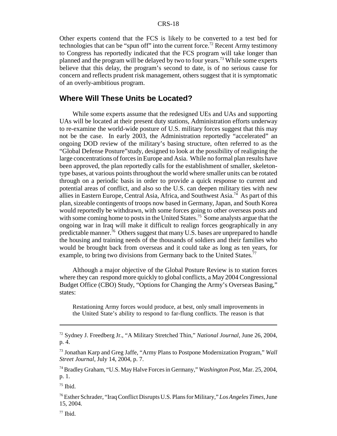Other experts contend that the FCS is likely to be converted to a test bed for technologies that can be "spun off" into the current force.<sup>72</sup> Recent Army testimony to Congress has reportedly indicated that the FCS program will take longer than planned and the program will be delayed by two to four years.<sup>73</sup> While some experts believe that this delay, the program's second to date, is of no serious cause for concern and reflects prudent risk management, others suggest that it is symptomatic of an overly-ambitious program.

#### **Where Will These Units be Located?**

While some experts assume that the redesigned UEs and UAs and supporting UAs will be located at their present duty stations, Administration efforts underway to re-examine the world-wide posture of U.S. military forces suggest that this may not be the case. In early 2003, the Administration reportedly "accelerated" an ongoing DOD review of the military's basing structure, often referred to as the "Global Defense Posture"study, designed to look at the possibility of realigning the large concentrations of forces in Europe and Asia. While no formal plan results have been approved, the plan reportedly calls for the establishment of smaller, skeletontype bases, at various points throughout the world where smaller units can be rotated through on a periodic basis in order to provide a quick response to current and potential areas of conflict, and also so the U.S. can deepen military ties with new allies in Eastern Europe, Central Asia, Africa, and Southwest Asia.74 As part of this plan, sizeable contingents of troops now based in Germany, Japan, and South Korea would reportedly be withdrawn, with some forces going to other overseas posts and with some coming home to posts in the United States.<sup>75</sup> Some analysts argue that the ongoing war in Iraq will make it difficult to realign forces geographically in any predictable manner.76 Others suggest that many U.S. bases are unprepared to handle the housing and training needs of the thousands of soldiers and their families who would be brought back from overseas and it could take as long as ten years, for example, to bring two divisions from Germany back to the United States.<sup>77</sup>

Although a major objective of the Global Posture Review is to station forces where they can respond more quickly to global conflicts, a May 2004 Congressional Budget Office (CBO) Study, "Options for Changing the Army's Overseas Basing," states:

Restationing Army forces would produce, at best, only small improvements in the United State's ability to respond to far-flung conflicts. The reason is that

<sup>72</sup> Sydney J. Freedberg Jr., "A Military Stretched Thin," *National Journal,* June 26, 2004, p. 4.

<sup>73</sup> Jonathan Karp and Greg Jaffe, "Army Plans to Postpone Modernization Program," *Wall Street Journal,* July 14, 2004, p. 7.

<sup>74</sup> Bradley Graham, "U.S. May Halve Forces in Germany," *Washington Post,* Mar. 25, 2004, p. 1.

 $75$  Ibid.

<sup>76</sup> Esther Schrader, "Iraq Conflict Disrupts U.S. Plans for Military," *Los Angeles Times,* June 15, 2004.

 $77$  Ibid.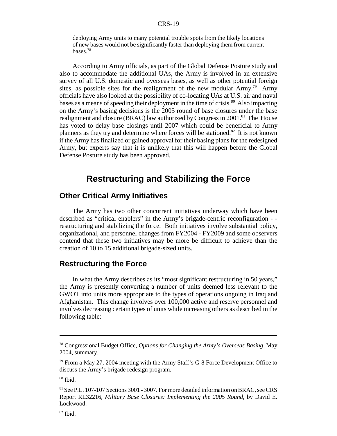deploying Army units to many potential trouble spots from the likely locations of new bases would not be significantly faster than deploying them from current bases.78

According to Army officials, as part of the Global Defense Posture study and also to accommodate the additional UAs, the Army is involved in an extensive survey of all U.S. domestic and overseas bases, as well as other potential foreign sites, as possible sites for the realignment of the new modular  $\text{Army.}^{79}$  Army officials have also looked at the possibility of co-locating UAs at U.S. air and naval bases as a means of speeding their deployment in the time of crisis.<sup>80</sup> Also impacting on the Army's basing decisions is the 2005 round of base closures under the base realignment and closure (BRAC) law authorized by Congress in 2001.<sup>81</sup> The House has voted to delay base closings until 2007 which could be beneficial to Army planners as they try and determine where forces will be stationed.<sup>82</sup> It is not known if the Army has finalized or gained approval for their basing plans for the redesigned Army, but experts say that it is unlikely that this will happen before the Global Defense Posture study has been approved.

# **Restructuring and Stabilizing the Force**

#### **Other Critical Army Initiatives**

The Army has two other concurrent initiatives underway which have been described as "critical enablers" in the Army's brigade-centric reconfiguration - restructuring and stabilizing the force. Both initiatives involve substantial policy, organizational, and personnel changes from FY2004 - FY2009 and some observers contend that these two initiatives may be more be difficult to achieve than the creation of 10 to 15 additional brigade-sized units.

#### **Restructuring the Force**

In what the Army describes as its "most significant restructuring in 50 years," the Army is presently converting a number of units deemed less relevant to the GWOT into units more appropriate to the types of operations ongoing in Iraq and Afghanistan. This change involves over 100,000 active and reserve personnel and involves decreasing certain types of units while increasing others as described in the following table:

<sup>78</sup> Congressional Budget Office, *Options for Changing the Army's Overseas Basing*, May 2004, summary.

 $79$  From a May 27, 2004 meeting with the Army Staff's G-8 Force Development Office to discuss the Army's brigade redesign program.

 $80$  Ibid.

<sup>81</sup> See P.L. 107-107 Sections 3001 - 3007. For more detailed information on BRAC, see CRS Report RL32216, *Military Base Closures: Implementing the 2005 Round*, by David E. Lockwood.

 $82$  Ibid.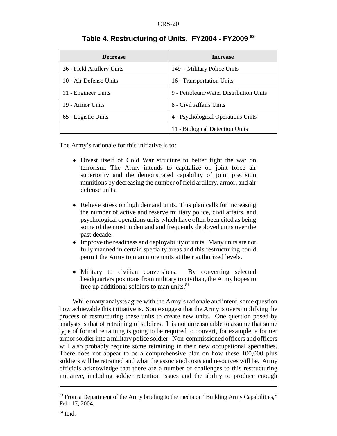| <b>Decrease</b>            | <b>Increase</b>                        |  |  |
|----------------------------|----------------------------------------|--|--|
| 36 - Field Artillery Units | 149 - Military Police Units            |  |  |
| 10 - Air Defense Units     | 16 - Transportation Units              |  |  |
| 11 - Engineer Units        | 9 - Petroleum/Water Distribution Units |  |  |
| 19 - Armor Units           | 8 - Civil Affairs Units                |  |  |
| 65 - Logistic Units        | 4 - Psychological Operations Units     |  |  |
|                            | 11 - Biological Detection Units        |  |  |

# **Table 4. Restructuring of Units, FY2004 - FY2009 83**

The Army's rationale for this initiative is to:

- Divest itself of Cold War structure to better fight the war on terrorism. The Army intends to capitalize on joint force air superiority and the demonstrated capability of joint precision munitions by decreasing the number of field artillery, armor, and air defense units.
- Relieve stress on high demand units. This plan calls for increasing the number of active and reserve military police, civil affairs, and psychological operations units which have often been cited as being some of the most in demand and frequently deployed units over the past decade.
- Improve the readiness and deployability of units. Many units are not fully manned in certain specialty areas and this restructuring could permit the Army to man more units at their authorized levels.
- Military to civilian conversions. By converting selected headquarters positions from military to civilian, the Army hopes to free up additional soldiers to man units.<sup>84</sup>

While many analysts agree with the Army's rationale and intent, some question how achievable this initiative is. Some suggest that the Army is oversimplifying the process of restructuring these units to create new units. One question posed by analysts is that of retraining of soldiers. It is not unreasonable to assume that some type of formal retraining is going to be required to convert, for example, a former armor soldier into a military police soldier. Non-commissioned officers and officers will also probably require some retraining in their new occupational specialties. There does not appear to be a comprehensive plan on how these 100,000 plus soldiers will be retrained and what the associated costs and resources will be. Army officials acknowledge that there are a number of challenges to this restructuring initiative, including soldier retention issues and the ability to produce enough

<sup>&</sup>lt;sup>83</sup> From a Department of the Army briefing to the media on "Building Army Capabilities," Feb. 17, 2004.

 $84$  Ibid.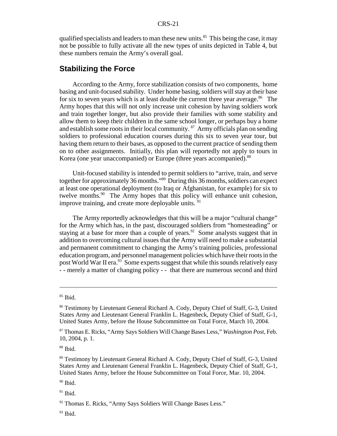qualified specialists and leaders to man these new units.<sup>85</sup> This being the case, it may not be possible to fully activate all the new types of units depicted in Table 4, but these numbers remain the Army's overall goal.

#### **Stabilizing the Force**

According to the Army, force stabilization consists of two components, home basing and unit-focused stability. Under home basing, soldiers will stay at their base for six to seven years which is at least double the current three year average.<sup>86</sup> The Army hopes that this will not only increase unit cohesion by having soldiers work and train together longer, but also provide their families with some stability and allow them to keep their children in the same school longer, or perhaps buy a home and establish some roots in their local community.  $^{87}$  Army officials plan on sending soldiers to professional education courses during this six to seven year tour, but having them return to their bases, as opposed to the current practice of sending them on to other assignments. Initially, this plan will reportedly not apply to tours in Korea (one year unaccompanied) or Europe (three years accompanied).<sup>88</sup>

Unit-focused stability is intended to permit soldiers to "arrive, train, and serve together for approximately 36 months."89 During this 36 months, soldiers can expect at least one operational deployment (to Iraq or Afghanistan, for example) for six to twelve months.<sup>90</sup> The Army hopes that this policy will enhance unit cohesion, improve training, and create more deployable units. <sup>91</sup>

The Army reportedly acknowledges that this will be a major "cultural change" for the Army which has, in the past, discouraged soldiers from "homesteading" or staying at a base for more than a couple of years.<sup>92</sup> Some analysts suggest that in addition to overcoming cultural issues that the Army will need to make a substantial and permanent commitment to changing the Army's training policies, professional education program, and personnel management policies which have their roots in the post World War II era.<sup>93</sup> Some experts suggest that while this sounds relatively easy - - merely a matter of changing policy - - that there are numerous second and third

<sup>90</sup> Ibid.

 $91$  Ibid.

 $93$  Ibid.

 $85$  Ibid.

<sup>86</sup> Testimony by Lieutenant General Richard A. Cody, Deputy Chief of Staff, G-3, United States Army and Lieutenant General Franklin L. Hagenbeck, Deputy Chief of Staff, G-1, United States Army, before the House Subcommittee on Total Force, March 10, 2004.

<sup>87</sup> Thomas E. Ricks, "Army Says Soldiers Will Change Bases Less," *Washington Post,* Feb. 10, 2004, p. 1.

<sup>88</sup> Ibid.

<sup>89</sup> Testimony by Lieutenant General Richard A. Cody, Deputy Chief of Staff, G-3, United States Army and Lieutenant General Franklin L. Hagenbeck, Deputy Chief of Staff, G-1, United States Army, before the House Subcommittee on Total Force, Mar. 10, 2004.

<sup>92</sup> Thomas E. Ricks, "Army Says Soldiers Will Change Bases Less."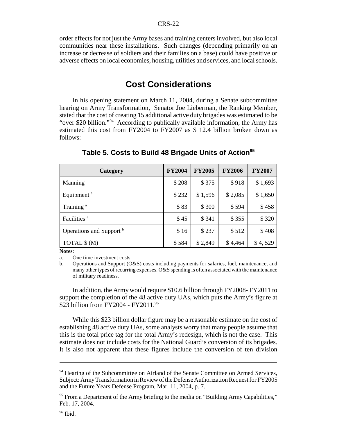order effects for not just the Army bases and training centers involved, but also local communities near these installations. Such changes (depending primarily on an increase or decrease of soldiers and their families on a base) could have positive or adverse effects on local economies, housing, utilities and services, and local schools.

# **Cost Considerations**

In his opening statement on March 11, 2004, during a Senate subcommittee hearing on Army Transformation, Senator Joe Lieberman, the Ranking Member, stated that the cost of creating 15 additional active duty brigades was estimated to be "over \$20 billion."94 According to publically available information, the Army has estimated this cost from FY2004 to FY2007 as \$ 12.4 billion broken down as follows:

| Category                            | <b>FY2004</b> | <b>FY2005</b> | <b>FY2006</b> | <b>FY2007</b> |
|-------------------------------------|---------------|---------------|---------------|---------------|
| Manning                             | \$208         | \$375         | \$918         | \$1,693       |
| Equipment <sup>a</sup>              | \$232         | \$1,596       | \$2,085       | \$1,650       |
| Training <sup>a</sup>               | \$83          | \$300         | \$594         | \$458         |
| Facilities <sup>a</sup>             | \$45          | \$341         | \$355         | \$320         |
| Operations and Support <sup>b</sup> | \$16          | \$237         | \$512         | \$408         |
| TOTAL \$ (M)                        | \$584         | \$2,849       | \$4,464       | \$4,529       |

**Table 5. Costs to Build 48 Brigade Units of Action<sup>95</sup>**

**Notes**:

a. One time investment costs.

b. Operations and Support (O&S) costs including payments for salaries, fuel, maintenance, and many other types of recurring expenses. O&S spending is often associated with the maintenance of military readiness.

In addition, the Army would require \$10.6 billion through FY2008- FY2011 to support the completion of the 48 active duty UAs, which puts the Army's figure at \$23 billion from FY2004 - FY2011.96

While this \$23 billion dollar figure may be a reasonable estimate on the cost of establishing 48 active duty UAs, some analysts worry that many people assume that this is the total price tag for the total Army's redesign, which is not the case. This estimate does not include costs for the National Guard's conversion of its brigades. It is also not apparent that these figures include the conversion of ten division

<sup>&</sup>lt;sup>94</sup> Hearing of the Subcommittee on Airland of the Senate Committee on Armed Services, Subject: Army Transformation in Review of the Defense Authorization Request for FY2005 and the Future Years Defense Program, Mar. 11, 2004, p. 7.

<sup>&</sup>lt;sup>95</sup> From a Department of the Army briefing to the media on "Building Army Capabilities," Feb. 17, 2004.

 $96$  Ibid.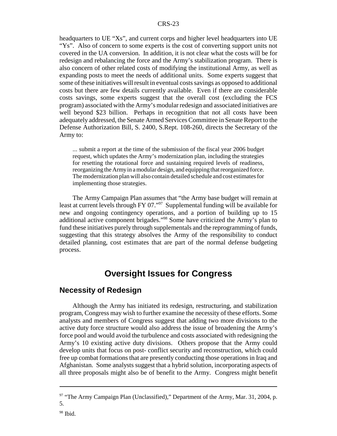headquarters to UE "Xs", and current corps and higher level headquarters into UE "Ys". Also of concern to some experts is the cost of converting support units not covered in the UA conversion. In addition, it is not clear what the costs will be for redesign and rebalancing the force and the Army's stabilization program. There is also concern of other related costs of modifying the institutional Army, as well as expanding posts to meet the needs of additional units. Some experts suggest that some of these initiatives will result in eventual costs savings as opposed to additional costs but there are few details currently available. Even if there are considerable costs savings, some experts suggest that the overall cost (excluding the FCS program) associated with the Army's modular redesign and associated initiatives are well beyond \$23 billion. Perhaps in recognition that not all costs have been adequately addressed, the Senate Armed Services Committee in Senate Report to the Defense Authorization Bill, S. 2400, S.Rept. 108-260, directs the Secretary of the Army to:

... submit a report at the time of the submission of the fiscal year 2006 budget request, which updates the Army's modernization plan, including the strategies for resetting the rotational force and sustaining required levels of readiness, reorganizing the Army in a modular design, and equipping that reorganized force. The modernization plan will also contain detailed schedule and cost estimates for implementing those strategies.

The Army Campaign Plan assumes that "the Army base budget will remain at least at current levels through FY 07."<sup>97</sup> Supplemental funding will be available for new and ongoing contingency operations, and a portion of building up to 15 additional active component brigades."98 Some have criticized the Army's plan to fund these initiatives purely through supplementals and the reprogramming of funds, suggesting that this strategy absolves the Army of the responsibility to conduct detailed planning, cost estimates that are part of the normal defense budgeting process.

# **Oversight Issues for Congress**

#### **Necessity of Redesign**

Although the Army has initiated its redesign, restructuring, and stabilization program, Congress may wish to further examine the necessity of these efforts. Some analysts and members of Congress suggest that adding two more divisions to the active duty force structure would also address the issue of broadening the Army's force pool and would avoid the turbulence and costs associated with redesigning the Army's 10 existing active duty divisions. Others propose that the Army could develop units that focus on post- conflict security and reconstruction, which could free up combat formations that are presently conducting those operations in Iraq and Afghanistan. Some analysts suggest that a hybrid solution, incorporating aspects of all three proposals might also be of benefit to the Army. Congress might benefit

 $97$  "The Army Campaign Plan (Unclassified)," Department of the Army, Mar. 31, 2004, p. 5.

 $98$  Ibid.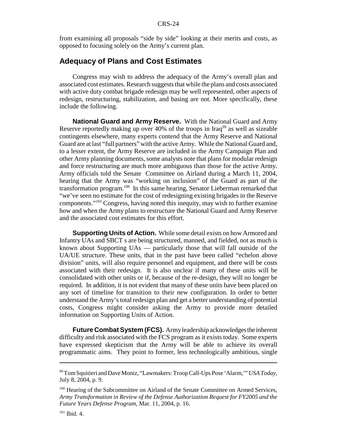from examining all proposals "side by side" looking at their merits and costs, as opposed to focusing solely on the Army's current plan.

#### **Adequacy of Plans and Cost Estimates**

Congress may wish to address the adequacy of the Army's overall plan and associated cost estimates. Research suggests that while the plans and costs associated with active duty combat brigade redesign may be well represented, other aspects of redesign, restructuring, stabilization, and basing are not. More specifically, these include the following.

**National Guard and Army Reserve.** With the National Guard and Army Reserve reportedly making up over 40% of the troops in Iraq<sup>99</sup> as well as sizeable contingents elsewhere, many experts contend that the Army Reserve and National Guard are at last "full partners" with the active Army. While the National Guard and, to a lesser extent, the Army Reserve are included in the Army Campaign Plan and other Army planning documents, some analysts note that plans for modular redesign and force restructuring are much more ambiguous than those for the active Army. Army officials told the Senate Committee on Airland during a March 11, 2004, hearing that the Army was "working on inclusion" of the Guard as part of the transformation program.<sup>100</sup> In this same hearing, Senator Lieberman remarked that "we've seen no estimate for the cost of redesigning existing brigades in the Reserve components."101 Congress, having noted this inequity, may wish to further examine how and when the Army plans to restructure the National Guard and Army Reserve and the associated cost estimates for this effort.

**Supporting Units of Action.** While some detail exists on how Armored and Infantry UAs and SBCT s are being structured, manned, and fielded, not as much is known about Supporting UAs — particularly those that will fall outside of the UA/UE structure. These units, that in the past have been called "echelon above division" units, will also require personnel and equipment, and there will be costs associated with their redesign. It is also unclear if many of these units will be consolidated with other units or if, because of the re-design, they will no longer be required. In addition, it is not evident that many of these units have been placed on any sort of timeline for transition to their new configuration. In order to better understand the Army's total redesign plan and get a better understanding of potential costs, Congress might consider asking the Army to provide more detailed information on Supporting Units of Action.

**Future Combat System (FCS).** Army leadership acknowledges the inherent difficulty and risk associated with the FCS program as it exists today. Some experts have expressed skepticism that the Army will be able to achieve its overall programmatic aims. They point to former, less technologically ambitious, single

<sup>99</sup> Tom Squitieri and Dave Moniz, "Lawmakers: Troop Call-Ups Pose 'Alarm,'" *USA Today,* July 8, 2004, p. 9.

<sup>&</sup>lt;sup>100</sup> Hearing of the Subcommittee on Airland of the Senate Committee on Armed Services, *Army Transformation in Review of the Defense Authorization Request for FY2005 and the Future Years Defense Program*, Mar. 11, 2004, p. 16.

 $101$  Ibid. 4.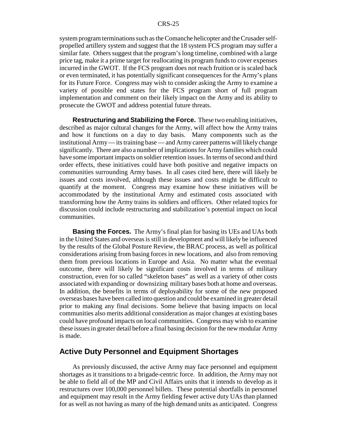system program terminations such as the Comanche helicopter and the Crusader selfpropelled artillery system and suggest that the 18 system FCS program may suffer a similar fate. Others suggest that the program's long timeline, combined with a large price tag, make it a prime target for reallocating its program funds to cover expenses incurred in the GWOT. If the FCS program does not reach fruition or is scaled back or even terminated, it has potentially significant consequences for the Army's plans for its Future Force. Congress may wish to consider asking the Army to examine a variety of possible end states for the FCS program short of full program implementation and comment on their likely impact on the Army and its ability to prosecute the GWOT and address potential future threats.

**Restructuring and Stabilizing the Force.** These two enabling initiatives, described as major cultural changes for the Army, will affect how the Army trains and how it functions on a day to day basis. Many components such as the institutional Army — its training base — and Army career patterns will likely change significantly. There are also a number of implications for Army families which could have some important impacts on soldier retention issues. In terms of second and third order effects, these initiatives could have both positive and negative impacts on communities surrounding Army bases. In all cases cited here, there will likely be issues and costs involved, although these issues and costs might be difficult to quantify at the moment. Congress may examine how these initiatives will be accommodated by the institutional Army and estimated costs associated with transforming how the Army trains its soldiers and officers. Other related topics for discussion could include restructuring and stabilization's potential impact on local communities.

**Basing the Forces.** The Army's final plan for basing its UEs and UAs both in the United States and overseas is still in development and will likely be influenced by the results of the Global Posture Review, the BRAC process, as well as political considerations arising from basing forces in new locations, and also from removing them from previous locations in Europe and Asia. No matter what the eventual outcome, there will likely be significant costs involved in terms of military construction, even for so called "skeleton bases" as well as a variety of other costs associated with expanding or downsizing military bases both at home and overseas. In addition, the benefits in terms of deployability for some of the new proposed overseas bases have been called into question and could be examined in greater detail prior to making any final decisions. Some believe that basing impacts on local communities also merits additional consideration as major changes at existing bases could have profound impacts on local communities. Congress may wish to examine these issues in greater detail before a final basing decision for the new modular Army is made.

#### **Active Duty Personnel and Equipment Shortages**

As previously discussed, the active Army may face personnel and equipment shortages as it transitions to a brigade-centric force. In addition, the Army may not be able to field all of the MP and Civil Affairs units that it intends to develop as it restructures over 100,000 personnel billets. These potential shortfalls in personnel and equipment may result in the Army fielding fewer active duty UAs than planned for as well as not having as many of the high demand units as anticipated. Congress